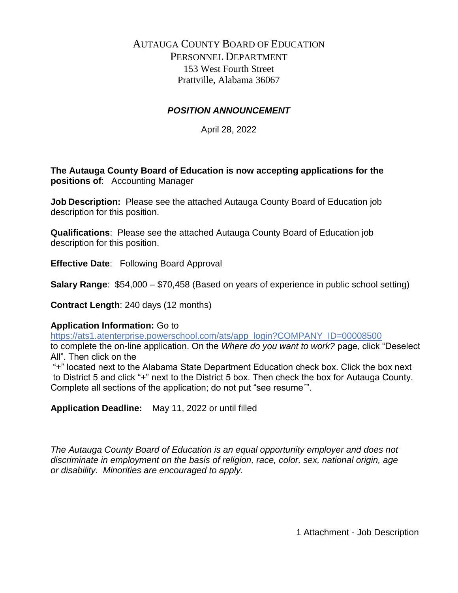# AUTAUGA COUNTY BOARD OF EDUCATION PERSONNEL DEPARTMENT 153 West Fourth Street Prattville, Alabama 36067

## *POSITION ANNOUNCEMENT*

April 28, 2022

**The Autauga County Board of Education is now accepting applications for the positions of**: Accounting Manager

**Job Description:** Please see the attached Autauga County Board of Education job description for this position.

**Qualifications**: Please see the attached Autauga County Board of Education job description for this position.

**Effective Date**: Following Board Approval

**Salary Range**: \$54,000 – \$70,458 (Based on years of experience in public school setting)

**Contract Length**: 240 days (12 months)

### **Application Information:** Go to

https://ats1.atenterprise.powerschool.com/ats/app\_login?COMPANY\_ID=00008500

to complete the on-line application. On the *Where do you want to work?* page, click "Deselect All". Then click on the

"+" located next to the Alabama State Department Education check box. Click the box next to District 5 and click "+" next to the District 5 box. Then check the box for Autauga County. Complete all sections of the application; do not put "see resume´".

**Application Deadline:** May 11, 2022 or until filled

*The Autauga County Board of Education is an equal opportunity employer and does not discriminate in employment on the basis of religion, race, color, sex, national origin, age or disability. Minorities are encouraged to apply.*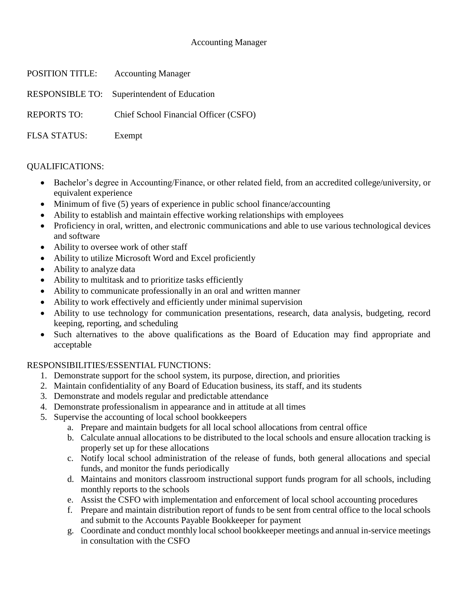### Accounting Manager

| POSITION TITLE:     | <b>Accounting Manager</b>                   |
|---------------------|---------------------------------------------|
|                     | RESPONSIBLE TO: Superintendent of Education |
| <b>REPORTS TO:</b>  | Chief School Financial Officer (CSFO)       |
| <b>FLSA STATUS:</b> | Exempt                                      |

### QUALIFICATIONS:

- Bachelor's degree in Accounting/Finance, or other related field, from an accredited college/university, or equivalent experience
- Minimum of five (5) years of experience in public school finance/accounting
- Ability to establish and maintain effective working relationships with employees
- Proficiency in oral, written, and electronic communications and able to use various technological devices and software
- Ability to oversee work of other staff
- Ability to utilize Microsoft Word and Excel proficiently
- Ability to analyze data
- Ability to multitask and to prioritize tasks efficiently
- Ability to communicate professionally in an oral and written manner
- Ability to work effectively and efficiently under minimal supervision
- Ability to use technology for communication presentations, research, data analysis, budgeting, record keeping, reporting, and scheduling
- Such alternatives to the above qualifications as the Board of Education may find appropriate and acceptable

### RESPONSIBILITIES/ESSENTIAL FUNCTIONS:

- 1. Demonstrate support for the school system, its purpose, direction, and priorities
- 2. Maintain confidentiality of any Board of Education business, its staff, and its students
- 3. Demonstrate and models regular and predictable attendance
- 4. Demonstrate professionalism in appearance and in attitude at all times
- 5. Supervise the accounting of local school bookkeepers
	- a. Prepare and maintain budgets for all local school allocations from central office
	- b. Calculate annual allocations to be distributed to the local schools and ensure allocation tracking is properly set up for these allocations
	- c. Notify local school administration of the release of funds, both general allocations and special funds, and monitor the funds periodically
	- d. Maintains and monitors classroom instructional support funds program for all schools, including monthly reports to the schools
	- e. Assist the CSFO with implementation and enforcement of local school accounting procedures
	- f. Prepare and maintain distribution report of funds to be sent from central office to the local schools and submit to the Accounts Payable Bookkeeper for payment
	- g. Coordinate and conduct monthly local school bookkeeper meetings and annual in-service meetings in consultation with the CSFO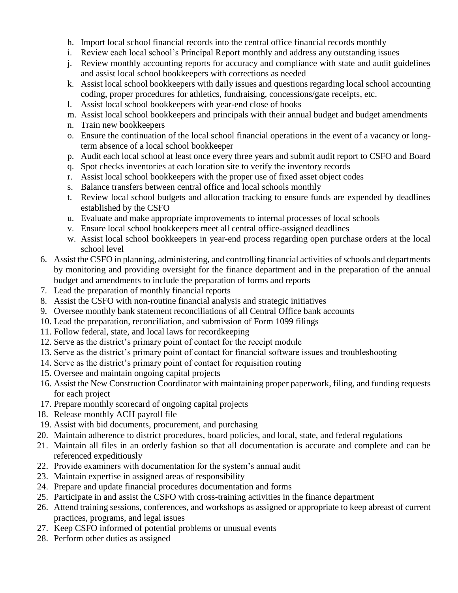- h. Import local school financial records into the central office financial records monthly
- i. Review each local school's Principal Report monthly and address any outstanding issues
- j. Review monthly accounting reports for accuracy and compliance with state and audit guidelines and assist local school bookkeepers with corrections as needed
- k. Assist local school bookkeepers with daily issues and questions regarding local school accounting coding, proper procedures for athletics, fundraising, concessions/gate receipts, etc.
- l. Assist local school bookkeepers with year-end close of books
- m. Assist local school bookkeepers and principals with their annual budget and budget amendments
- n. Train new bookkeepers
- o. Ensure the continuation of the local school financial operations in the event of a vacancy or longterm absence of a local school bookkeeper
- p. Audit each local school at least once every three years and submit audit report to CSFO and Board
- q. Spot checks inventories at each location site to verify the inventory records
- r. Assist local school bookkeepers with the proper use of fixed asset object codes
- s. Balance transfers between central office and local schools monthly
- t. Review local school budgets and allocation tracking to ensure funds are expended by deadlines established by the CSFO
- u. Evaluate and make appropriate improvements to internal processes of local schools
- v. Ensure local school bookkeepers meet all central office-assigned deadlines
- w. Assist local school bookkeepers in year-end process regarding open purchase orders at the local school level
- 6. Assist the CSFO in planning, administering, and controlling financial activities of schools and departments by monitoring and providing oversight for the finance department and in the preparation of the annual budget and amendments to include the preparation of forms and reports
- 7. Lead the preparation of monthly financial reports
- 8. Assist the CSFO with non-routine financial analysis and strategic initiatives
- 9. Oversee monthly bank statement reconciliations of all Central Office bank accounts
- 10. Lead the preparation, reconciliation, and submission of Form 1099 filings
- 11. Follow federal, state, and local laws for recordkeeping
- 12. Serve as the district's primary point of contact for the receipt module
- 13. Serve as the district's primary point of contact for financial software issues and troubleshooting
- 14. Serve as the district's primary point of contact for requisition routing
- 15. Oversee and maintain ongoing capital projects
- 16. Assist the New Construction Coordinator with maintaining proper paperwork, filing, and funding requests for each project
- 17. Prepare monthly scorecard of ongoing capital projects
- 18. Release monthly ACH payroll file
- 19. Assist with bid documents, procurement, and purchasing
- 20. Maintain adherence to district procedures, board policies, and local, state, and federal regulations
- 21. Maintain all files in an orderly fashion so that all documentation is accurate and complete and can be referenced expeditiously
- 22. Provide examiners with documentation for the system's annual audit
- 23. Maintain expertise in assigned areas of responsibility
- 24. Prepare and update financial procedures documentation and forms
- 25. Participate in and assist the CSFO with cross-training activities in the finance department
- 26. Attend training sessions, conferences, and workshops as assigned or appropriate to keep abreast of current practices, programs, and legal issues
- 27. Keep CSFO informed of potential problems or unusual events
- 28. Perform other duties as assigned